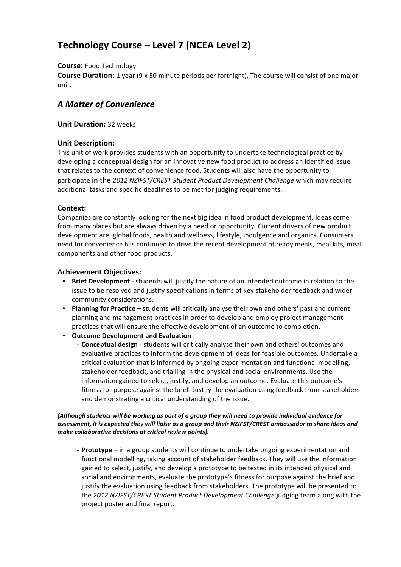# **Technology Course – Level 7 (NCEA Level 2)**

## **Course: Food Technology**

**Course Duration:** 1 year (9 x 50 minute periods per fortnight). The course will consist of one major unit.

## A Matter of Convenience

## **Unit Duration: 32 weeks**

## **Unit Description:**

This unit of work provides students with an opportunity to undertake technological practice by developing a conceptual design for an innovative new food product to address an identified issue that relates to the context of convenience food. Students will also have the opportunity to participate in the 2012 NZIFST/CREST Student Product Development Challenge which may require additional tasks and specific deadlines to be met for judging requirements.

## **Context:**

Companies are constantly looking for the next big idea in food product development. Ideas come from many places but are always driven by a need or opportunity. Current drivers of new product development are: global foods, health and wellness, lifestyle, indulgence and organics. Consumers need for convenience has continued to drive the recent development of ready meals, meal kits, meal components and other food products.

## **Achievement Objectives:**

- **Brief Development** students will justify the nature of an intended outcome in relation to the issue to be resolved and justify specifications in terms of key stakeholder feedback and wider community considerations.
- Planning for Practice students will critically analyse their own and others' past and current planning and management practices in order to develop and employ project management practices that will ensure the effective development of an outcome to completion.
- **Outcome Development and Evaluation** 
	- Conceptual design students will critically analyse their own and others' outcomes and evaluative practices to inform the development of ideas for feasible outcomes. Undertake a critical evaluation that is informed by ongoing experimentation and functional modelling, stakeholder feedback, and trialling in the physical and social environments. Use the information gained to select, justify, and develop an outcome. Evaluate this outcome's fitness for purpose against the brief. Justify the evaluation using feedback from stakeholders and demonstrating a critical understanding of the issue.

#### (Although students will be working as part of a group they will need to provide individual evidence for assessment, it is expected they will liaise as a group and their NZIFST/CREST ambassador to share ideas and make collaborative decisions at critical review points).

- Prototype – in a group students will continue to undertake ongoing experimentation and functional modelling, taking account of stakeholder feedback. They will use the information gained to select, justify, and develop a prototype to be tested in its intended physical and social and environments, evaluate the prototype's fitness for purpose against the brief and justify the evaluation using feedback from stakeholders. The prototype will be presented to the 2012 NZIFST/CREST Student Product Development Challenge judging team along with the project poster and final report.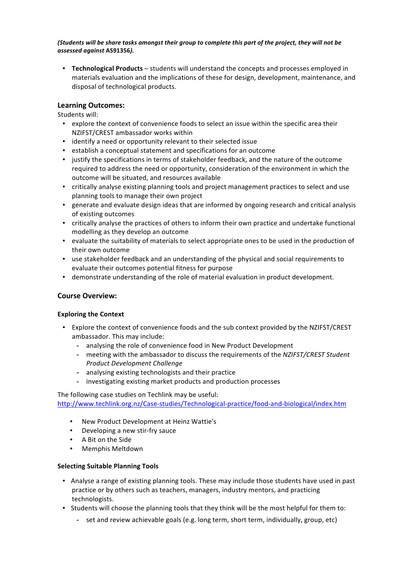#### (Students will be share tasks amongst their group to complete this part of the project, they will not be *assessed"against"***AS91356***).*

• **Technological Products** – students will understand the concepts and processes employed in materials evaluation and the implications of these for design, development, maintenance, and disposal of technological products.

## **Learning\*Outcomes:**

Students will:

- explore the context of convenience foods to select an issue within the specific area their NZIFST/CREST ambassador works within
- identify a need or opportunity relevant to their selected issue
- establish a conceptual statement and specifications for an outcome
- justify the specifications in terms of stakeholder feedback, and the nature of the outcome required to address the need or opportunity, consideration of the environment in which the outcome will be situated, and resources available
- critically analyse existing planning tools and project management practices to select and use planning tools to manage their own project
- generate and evaluate design ideas that are informed by ongoing research and critical analysis of existing outcomes
- critically analyse the practices of others to inform their own practice and undertake functional modelling as they develop an outcome
- evaluate the suitability of materials to select appropriate ones to be used in the production of their own outcome
- use stakeholder feedback and an understanding of the physical and social requirements to evaluate their outcomes potential fitness for purpose
- demonstrate understanding of the role of material evaluation in product development.

## **Course Overview:**

## **Exploring the Context**

- Explore the context of convenience foods and the sub context provided by the NZIFST/CREST ambassador. This may include:
	- analysing the role of convenience food in New Product Development
	- **-** meeting with the ambassador to discuss the requirements of the *NZIFST/CREST Student Product!Development!Challenge*
	- **Figure 3** analysing existing technologists and their practice
	- **P** investigating!existing!market!products!and!production!processes

#### The following case studies on Techlink may be useful: http://www.techlink.org.nz/Case-studies/Technological-practice/food-and-biological/index.htm

- New Product Development at Heinz Wattie's
- Developing a new stir-fry sauce
- A Bit on the Side
- Memphis Meltdown

#### **Selecting Suitable Planning Tools**

- Analyse a range of existing planning tools. These may include those students have used in past practice or by others such as teachers, managers, industry mentors, and practicing technologists.
- Students will choose the planning tools that they think will be the most helpful for them to:
	- **P** set and review achievable goals (e.g. long term, short term, individually, group, etc)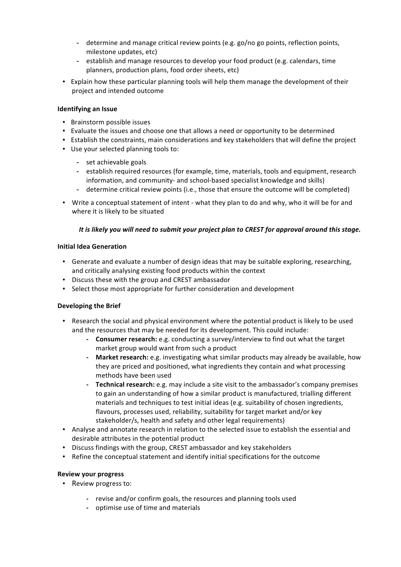- determine and manage critical review points (e.g. go/no go points, reflection points, milestone updates, etc)
- **P** establish and manage resources to develop your food product (e.g. calendars, time planners, production plans, food order sheets, etc)
- Explain how these particular planning tools will help them manage the development of their project and intended outcome

#### **Identifying an\*Issue**

- Brainstorm possible issues
- Evaluate the issues and choose one that allows a need or opportunity to be determined
- Establish the constraints, main considerations and key stakeholders that will define the project
- Use your selected planning tools to:
	- **-** set achievable goals
	- establish required resources (for example, time, materials, tools and equipment, research information, and community- and school-based specialist knowledge and skills)
	- determine critical review points (i.e., those that ensure the outcome will be completed)
- Write a conceptual statement of intent what they plan to do and why, who it will be for and where it is likely to be situated

#### *It is likely you will need to submit your project plan to CREST for approval around this stage.*

#### **Initial\*Idea\*Generation**

- Generate and evaluate a number of design ideas that may be suitable exploring, researching, and critically analysing existing food products within the context
- Discuss these with the group and CREST ambassador
- Select those most appropriate for further consideration and development

#### **Developing the Brief**

- Research the social and physical environment where the potential product is likely to be used and the resources that may be needed for its development. This could include:
	- **F Consumer research:** e.g. conducting a survey/interview to find out what the target market group would want from such a product
	- **P Market research:** e.g. investigating what similar products may already be available, how they are priced and positioned, what ingredients they contain and what processing methods have been used
	- **FRECHILL TECHILL TECHILLE TECHILLE TECHILLE TECHILLE TECHILLE TECHILLE TECHILLE TECHILLE TECHILLE TECHILLE TECH**<br>**P** and the amployment of the sensor of the sensor that the sensor that the sensor that the sensor that the to gain an understanding of how a similar product is manufactured, trialling different materials and techniques to test initial ideas (e.g. suitability of chosen ingredients, flavours, processes used, reliability, suitability for target market and/or key stakeholder/s, health and safety and other legal requirements)
- Analyse and annotate research in relation to the selected issue to establish the essential and desirable attributes in the potential product
- Discuss findings with the group, CREST ambassador and key stakeholders
- Refine the conceptual statement and identify initial specifications for the outcome

#### **Review your progress**

- Review progress to:
	- **P** revise and/or confirm goals, the resources and planning tools used
	- **-** optimise use of time and materials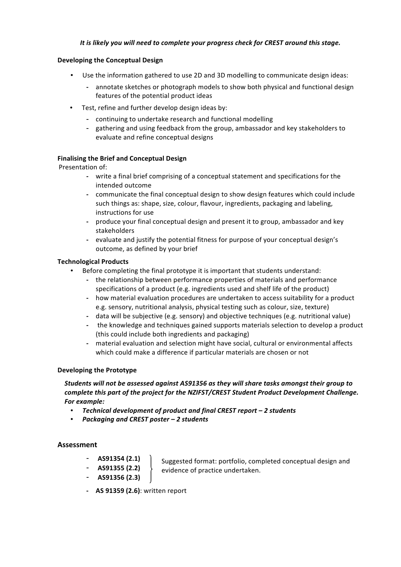## It is likely you will need to complete your progress check for CREST around this stage.

#### **Developing the Conceptual Design**

- Use the information gathered to use 2D and 3D modelling to communicate design ideas:
	- **P** annotate sketches or photograph models to show both physical and functional design features of the potential product ideas
- Test, refine and further develop design ideas by:
	- continuing to undertake research and functional modelling
	- gathering and using feedback from the group, ambassador and key stakeholders to evaluate and refine conceptual designs

#### **Finalising the Brief and Conceptual Design**

Presentation of:

- write a final brief comprising of a conceptual statement and specifications for the intended outcome
- communicate the final conceptual design to show design features which could include such things as: shape, size, colour, flavour, ingredients, packaging and labeling, instructions for use
- produce your final conceptual design and present it to group, ambassador and key stakeholders
- evaluate and justify the potential fitness for purpose of your conceptual design's outcome, as defined by your brief

#### **Technological Products**

- Before completing the final prototype it is important that students understand:
	- the relationship between performance properties of materials and performance specifications of a product (e.g. ingredients used and shelf life of the product)
	- how material evaluation procedures are undertaken to access suitability for a product e.g. sensory, nutritional analysis, physical testing such as colour, size, texture)
	- data will be subjective (e.g. sensory) and objective techniques (e.g. nutritional value)
	- the knowledge and techniques gained supports materials selection to develop a product (this could include both ingredients and packaging)
	- **P** material evaluation and selection might have social, cultural or environmental affects which could make a difference if particular materials are chosen or not

#### **Developing the Prototype**

*Students"will"not"be"assessed"against"AS91356"as"they"will"share"tasks"amongst"their"group"to"* complete this part of the project for the NZIFST/CREST Student Product Development Challenge. **For example:** 

- Technical development of product and final CREST report 2 students
- *Packaging"and"CREST"poster – 2"students*

#### **Assessment**

- **AS91354\*(2.1)**
- **AS91355\*(2.2)**
- **AS91356\*(2.3)**

Suggested format: portfolio, completed conceptual design and evidence of practice undertaken.

**- AS 91359 (2.6)**: written report